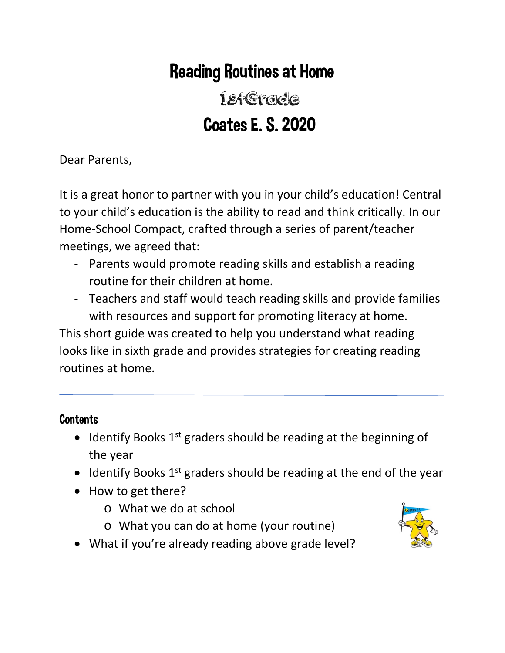# Reading Routines at Home

# 1stGrade Coates E. S. 2020

Dear Parents,

It is a great honor to partner with you in your child's education! Central to your child's education is the ability to read and think critically. In our Home-School Compact, crafted through a series of parent/teacher meetings, we agreed that:

- Parents would promote reading skills and establish a reading routine for their children at home.
- Teachers and staff would teach reading skills and provide families with resources and support for promoting literacy at home.

This short guide was created to help you understand what reading looks like in sixth grade and provides strategies for creating reading routines at home.

## **Contents**

- Identify Books  $1<sup>st</sup>$  graders should be reading at the beginning of the year
- Identify Books  $1^{st}$  graders should be reading at the end of the year
- How to get there?
	- o What we do at school
	- o What you can do at home (your routine)



• What if you're already reading above grade level?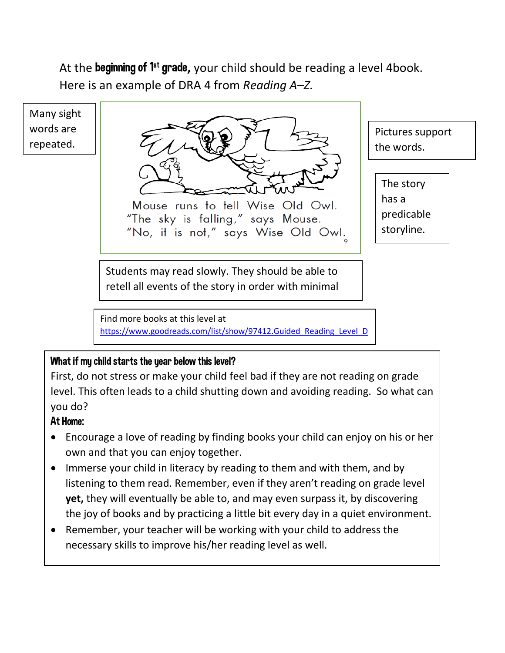At the **beginning of 1<sup>st</sup> grade**, your child should be reading a level 4book. Here is an example of DRA 4 from *Reading A–Z.*

Many sight words are repeated.



Mouse runs to tell Wise Old Owl. "The sky is falling," says Mouse. "No, it is not," says Wise Old Owl.

Pictures support the words.

The story has a predicable storyline.

Students may read slowly. They should be able to retell all events of the story in order with minimal

Find more books at this level at [https://www.goodreads.com/list/show/97412.Guided\\_Reading\\_Level\\_D](https://www.goodreads.com/list/show/97412.Guided_Reading_Level_D)

#### What if my child starts the year below this level?

First, do not stress or make your child feel bad if they are not reading on grade level. This often leads to a child shutting down and avoiding reading. So what can you do?

#### At Home:

- Encourage a love of reading by finding books your child can enjoy on his or her own and that you can enjoy together.
- Immerse your child in literacy by reading to them and with them, and by listening to them read. Remember, even if they aren't reading on grade level **yet,** they will eventually be able to, and may even surpass it, by discovering the joy of books and by practicing a little bit every day in a quiet environment.
- Remember, your teacher will be working with your child to address the necessary skills to improve his/her reading level as well.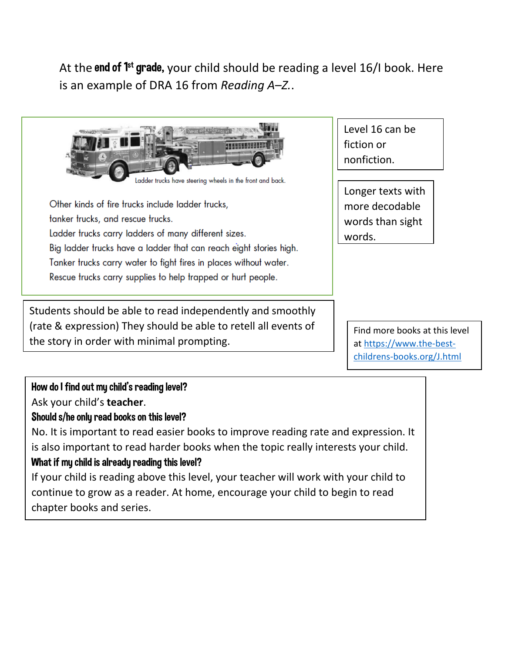At the end of  $1<sup>st</sup>$  grade, your child should be reading a level 16/I book. Here is an example of DRA 16 from *Reading A–Z.*.